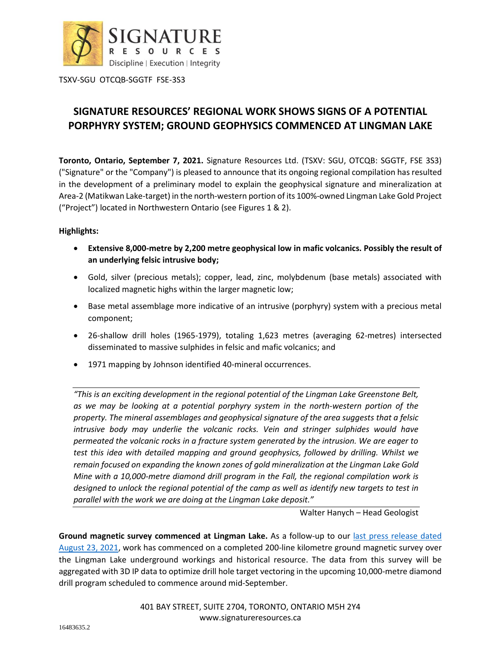

## **SIGNATURE RESOURCES' REGIONAL WORK SHOWS SIGNS OF A POTENTIAL PORPHYRY SYSTEM; GROUND GEOPHYSICS COMMENCED AT LINGMAN LAKE**

**Toronto, Ontario, September 7, 2021.** Signature Resources Ltd. (TSXV: SGU, OTCQB: SGGTF, FSE 3S3) ("Signature" or the "Company") is pleased to announce that its ongoing regional compilation has resulted in the development of a preliminary model to explain the geophysical signature and mineralization at Area-2 (Matikwan Lake-target) in the north-western portion of its 100%-owned Lingman Lake Gold Project ("Project") located in Northwestern Ontario (see Figures 1 & 2).

## **Highlights:**

- **Extensive 8,000-metre by 2,200 metre geophysical low in mafic volcanics. Possibly the result of an underlying felsic intrusive body;**
- Gold, silver (precious metals); copper, lead, zinc, molybdenum (base metals) associated with localized magnetic highs within the larger magnetic low;
- Base metal assemblage more indicative of an intrusive (porphyry) system with a precious metal component;
- 26-shallow drill holes (1965-1979), totaling 1,623 metres (averaging 62-metres) intersected disseminated to massive sulphides in felsic and mafic volcanics; and
- 1971 mapping by Johnson identified 40-mineral occurrences.

*"This is an exciting development in the regional potential of the Lingman Lake Greenstone Belt, as we may be looking at a potential porphyry system in the north-western portion of the property. The mineral assemblages and geophysical signature of the area suggests that a felsic intrusive body may underlie the volcanic rocks. Vein and stringer sulphides would have permeated the volcanic rocks in a fracture system generated by the intrusion. We are eager to test this idea with detailed mapping and ground geophysics, followed by drilling. Whilst we remain focused on expanding the known zones of gold mineralization at the Lingman Lake Gold Mine with a 10,000-metre diamond drill program in the Fall, the regional compilation work is designed to unlock the regional potential of the camp as well as identify new targets to test in parallel with the work we are doing at the Lingman Lake deposit."*

Walter Hanych – Head Geologist

**Ground magnetic survey commenced at Lingman Lake.** As a follow-up to our [last press release](https://www.signatureresources.ca/news/signature-resources-provides-a-project-update-at-its-100-owned-lingman-lake-gold-project) dated [August 23, 2021,](https://www.signatureresources.ca/news/signature-resources-provides-a-project-update-at-its-100-owned-lingman-lake-gold-project) work has commenced on a completed 200-line kilometre ground magnetic survey over the Lingman Lake underground workings and historical resource. The data from this survey will be aggregated with 3D IP data to optimize drill hole target vectoring in the upcoming 10,000-metre diamond drill program scheduled to commence around mid-September.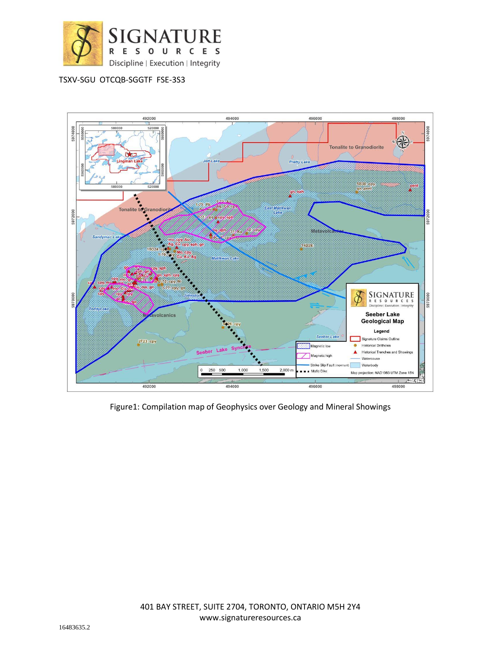



Figure1: Compilation map of Geophysics over Geology and Mineral Showings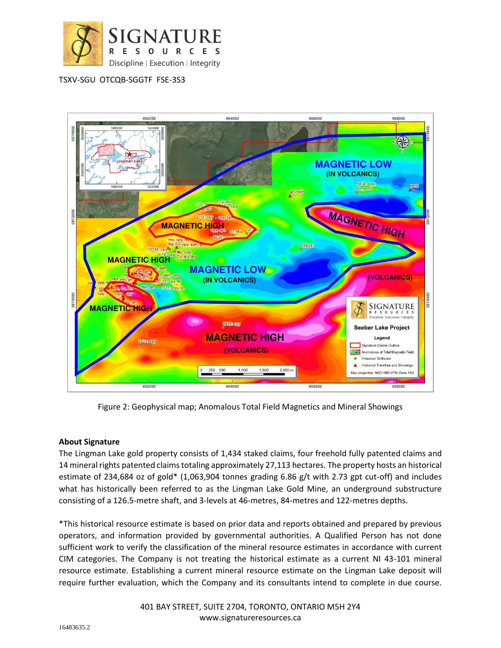



Figure 2: Geophysical map; Anomalous Total Field Magnetics and Mineral Showings

## **About Signature**

The Lingman Lake gold property consists of 1,434 staked claims, four freehold fully patented claims and 14 mineral rights patented claims totaling approximately 27,113 hectares. The property hosts an historical estimate of 234,684 oz of gold\* (1,063,904 tonnes grading 6.86 g/t with 2.73 gpt cut-off) and includes what has historically been referred to as the Lingman Lake Gold Mine, an underground substructure consisting of a 126.5-metre shaft, and 3-levels at 46-metres, 84-metres and 122-metres depths.

\*This historical resource estimate is based on prior data and reports obtained and prepared by previous operators, and information provided by governmental authorities. A Qualified Person has not done sufficient work to verify the classification of the mineral resource estimates in accordance with current CIM categories. The Company is not treating the historical estimate as a current NI 43-101 mineral resource estimate. Establishing a current mineral resource estimate on the Lingman Lake deposit will require further evaluation, which the Company and its consultants intend to complete in due course.